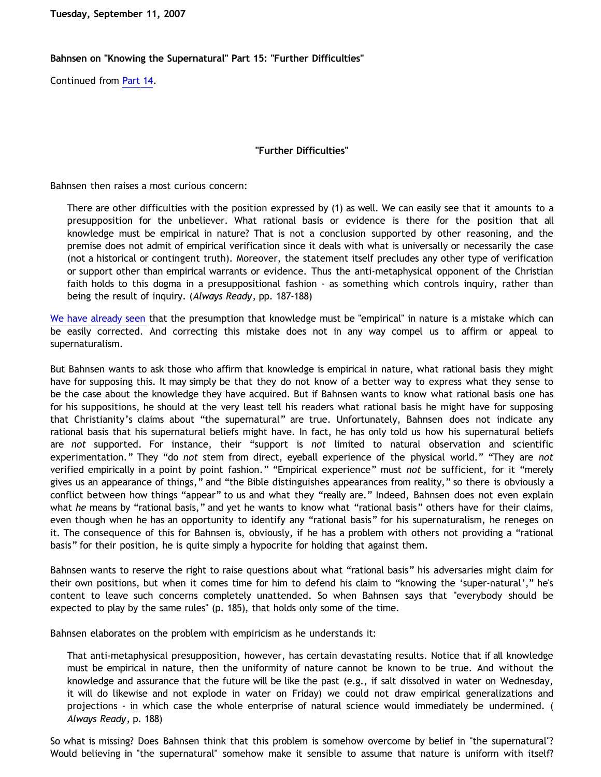**Tuesday, September 11, 2007**

## **Bahnsen on "Knowing the Supernatural" Part 15: "Further Difficulties"**

Continued from [Part 14](http://bahnsenburner.blogspot.com/2007/09/bahnsen-on-knowing-supernatural-part-14.html).

## **"Further Difficulties"**

Bahnsen then raises a most curious concern:

There are other difficulties with the position expressed by (1) as well. We can easily see that it amounts to a presupposition for the unbeliever. What rational basis or evidence is there for the position that all knowledge must be empirical in nature? That is not a conclusion supported by other reasoning, and the premise does not admit of empirical verification since it deals with what is universally or necessarily the case (not a historical or contingent truth). Moreover, the statement itself precludes any other type of verification or support other than empirical warrants or evidence. Thus the anti-metaphysical opponent of the Christian faith holds to this dogma in a presuppositional fashion - as something which controls inquiry, rather than being the result of inquiry. (*Always Ready*, pp. 187-188)

[We have already seen](http://bahnsenburner.blogspot.com/2007/09/bahnsen-on-knowing-supernatural-part-14.html) that the presumption that knowledge must be "empirical" in nature is a mistake which can be easily corrected. And correcting this mistake does not in any way compel us to affirm or appeal to supernaturalism.

But Bahnsen wants to ask those who affirm that knowledge is empirical in nature, what rational basis they might have for supposing this. It may simply be that they do not know of a better way to express what they sense to be the case about the knowledge they have acquired. But if Bahnsen wants to know what rational basis one has for his suppositions, he should at the very least tell his readers what rational basis he might have for supposing that Christianity's claims about "the supernatural" are true. Unfortunately, Bahnsen does not indicate any rational basis that his supernatural beliefs might have. In fact, he has only told us how his supernatural beliefs are *not* supported. For instance, their "support is *not* limited to natural observation and scientific experimentation." They "do *not* stem from direct, eyeball experience of the physical world." "They are *not* verified empirically in a point by point fashion." "Empirical experience" must *not* be sufficient, for it "merely gives us an appearance of things," and "the Bible distinguishes appearances from reality," so there is obviously a conflict between how things "appear" to us and what they "really are." Indeed, Bahnsen does not even explain what *he* means by "rational basis," and yet he wants to know what "rational basis" others have for their claims, even though when he has an opportunity to identify any "rational basis" for his supernaturalism, he reneges on it. The consequence of this for Bahnsen is, obviously, if he has a problem with others not providing a "rational basis" for their position, he is quite simply a hypocrite for holding that against them.

Bahnsen wants to reserve the right to raise questions about what "rational basis" his adversaries might claim for their own positions, but when it comes time for him to defend his claim to "knowing the 'super-natural'," he's content to leave such concerns completely unattended. So when Bahnsen says that "everybody should be expected to play by the same rules" (p. 185), that holds only some of the time.

Bahnsen elaborates on the problem with empiricism as he understands it:

That anti-metaphysical presupposition, however, has certain devastating results. Notice that if all knowledge must be empirical in nature, then the uniformity of nature cannot be known to be true. And without the knowledge and assurance that the future will be like the past (e.g., if salt dissolved in water on Wednesday, it will do likewise and not explode in water on Friday) we could not draw empirical generalizations and projections - in which case the whole enterprise of natural science would immediately be undermined. ( *Always Ready*, p. 188)

So what is missing? Does Bahnsen think that this problem is somehow overcome by belief in "the supernatural"? Would believing in "the supernatural" somehow make it sensible to assume that nature is uniform with itself?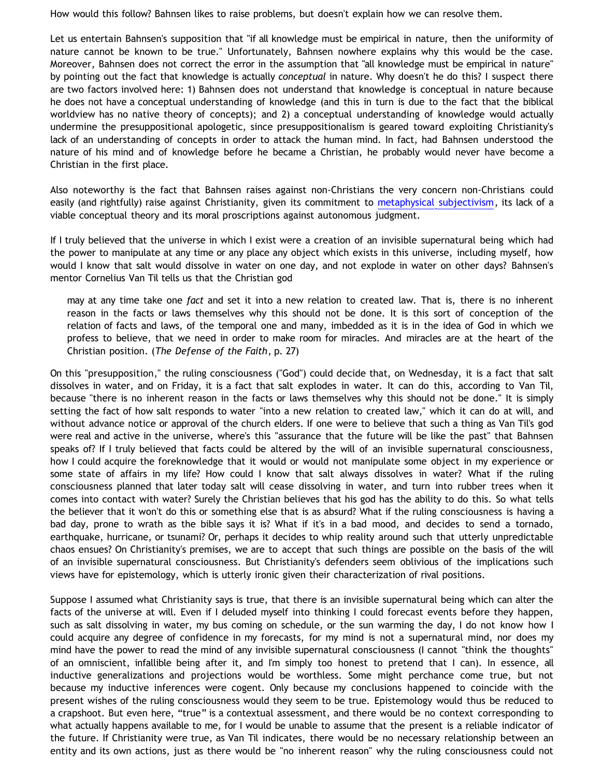How would this follow? Bahnsen likes to raise problems, but doesn't explain how we can resolve them.

Let us entertain Bahnsen's supposition that "if all knowledge must be empirical in nature, then the uniformity of nature cannot be known to be true." Unfortunately, Bahnsen nowhere explains why this would be the case. Moreover, Bahnsen does not correct the error in the assumption that "all knowledge must be empirical in nature" by pointing out the fact that knowledge is actually *conceptual* in nature. Why doesn't he do this? I suspect there are two factors involved here: 1) Bahnsen does not understand that knowledge is conceptual in nature because he does not have a conceptual understanding of knowledge (and this in turn is due to the fact that the biblical worldview has no native theory of concepts); and 2) a conceptual understanding of knowledge would actually undermine the presuppositional apologetic, since presuppositionalism is geared toward exploiting Christianity's lack of an understanding of concepts in order to attack the human mind. In fact, had Bahnsen understood the nature of his mind and of knowledge before he became a Christian, he probably would never have become a Christian in the first place.

Also noteworthy is the fact that Bahnsen raises against non-Christians the very concern non-Christians could easily (and rightfully) raise against Christianity, given its commitment to [metaphysical subjectivism](http://bahnsenburner.blogspot.com/2006/12/theism-and-subjective-metaphysics.html), its lack of a viable conceptual theory and its moral proscriptions against autonomous judgment.

If I truly believed that the universe in which I exist were a creation of an invisible supernatural being which had the power to manipulate at any time or any place any object which exists in this universe, including myself, how would I know that salt would dissolve in water on one day, and not explode in water on other days? Bahnsen's mentor Cornelius Van Til tells us that the Christian god

may at any time take one *fact* and set it into a new relation to created law. That is, there is no inherent reason in the facts or laws themselves why this should not be done. It is this sort of conception of the relation of facts and laws, of the temporal one and many, imbedded as it is in the idea of God in which we profess to believe, that we need in order to make room for miracles. And miracles are at the heart of the Christian position. (*The Defense of the Faith*, p. 27)

On this "presupposition," the ruling consciousness ("God") could decide that, on Wednesday, it is a fact that salt dissolves in water, and on Friday, it is a fact that salt explodes in water. It can do this, according to Van Til, because "there is no inherent reason in the facts or laws themselves why this should not be done." It is simply setting the fact of how salt responds to water "into a new relation to created law," which it can do at will, and without advance notice or approval of the church elders. If one were to believe that such a thing as Van Til's god were real and active in the universe, where's this "assurance that the future will be like the past" that Bahnsen speaks of? If I truly believed that facts could be altered by the will of an invisible supernatural consciousness, how I could acquire the foreknowledge that it would or would not manipulate some object in my experience or some state of affairs in my life? How could I know that salt always dissolves in water? What if the ruling consciousness planned that later today salt will cease dissolving in water, and turn into rubber trees when it comes into contact with water? Surely the Christian believes that his god has the ability to do this. So what tells the believer that it won't do this or something else that is as absurd? What if the ruling consciousness is having a bad day, prone to wrath as the bible says it is? What if it's in a bad mood, and decides to send a tornado, earthquake, hurricane, or tsunami? Or, perhaps it decides to whip reality around such that utterly unpredictable chaos ensues? On Christianity's premises, we are to accept that such things are possible on the basis of the will of an invisible supernatural consciousness. But Christianity's defenders seem oblivious of the implications such views have for epistemology, which is utterly ironic given their characterization of rival positions.

Suppose I assumed what Christianity says is true, that there is an invisible supernatural being which can alter the facts of the universe at will. Even if I deluded myself into thinking I could forecast events before they happen, such as salt dissolving in water, my bus coming on schedule, or the sun warming the day, I do not know how I could acquire any degree of confidence in my forecasts, for my mind is not a supernatural mind, nor does my mind have the power to read the mind of any invisible supernatural consciousness (I cannot "think the thoughts" of an omniscient, infallible being after it, and I'm simply too honest to pretend that I can). In essence, all inductive generalizations and projections would be worthless. Some might perchance come true, but not because my inductive inferences were cogent. Only because my conclusions happened to coincide with the present wishes of the ruling consciousness would they seem to be true. Epistemology would thus be reduced to a crapshoot. But even here, "true" is a contextual assessment, and there would be no context corresponding to what actually happens available to me, for I would be unable to assume that the present is a reliable indicator of the future. If Christianity were true, as Van Til indicates, there would be no necessary relationship between an entity and its own actions, just as there would be "no inherent reason" why the ruling consciousness could not